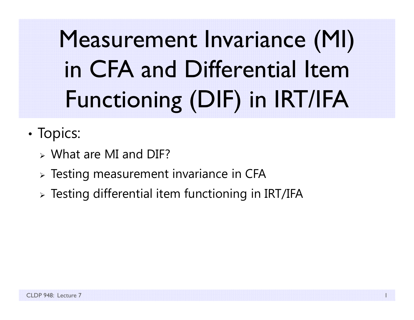Measurement Invariance (MI) in CFA and Differential Item Functioning (DIF) in IRT/IFA

- •• Topics:
	- What are MI and DIF?
	- $\triangleright$  Testing measurement invariance in CFA
	- $\triangleright$  Testing differential item functioning in IRT/IFA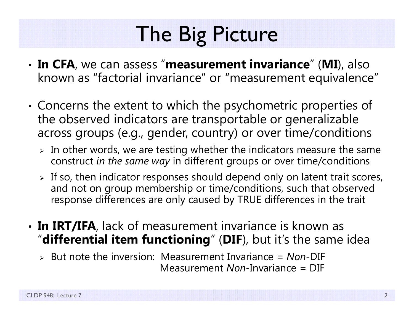# The Big Picture

- • **In CFA**, we can assess "**measurement invariance**" (**MI**), also known as "factorial invariance" or "measurement equivalence"
- • Concerns the extent to which the psychometric properties of the observed indicators are transportable or generalizable across groups (e.g., gender, country) or over time/conditions
	- $\triangleright$  In other words, we are testing whether the indicators measure the same construct *in the same way* in different groups or over time/conditions
	- $\triangleright$  If so, then indicator responses should depend only on latent trait scores, and not on group membership or time/conditions, such that observed response differences are only caused by TRUE differences in the trait
- **In IRT/IFA**, lack of measurement invariance is known as "**differential item functioning**" (**DIF**), but it's the same idea
	- But note the inversion: Measurement Invariance = *Non*-DIF Measurement *Non*-Invariance = DIF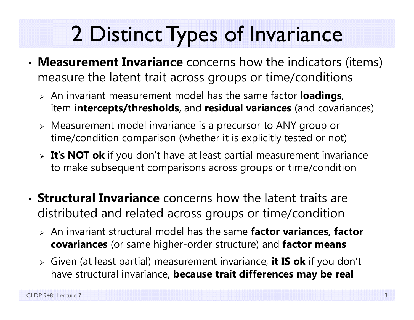# 2 Distinct Types of Invariance

- • **Measurement Invariance** concerns how the indicators (items) measure the latent trait across groups or time/conditions
	- An invariant measurement model has the same factor **loadings**, item **intercepts/thresholds**, and **residual variances** (and covariances)
	- Measurement model invariance is a precursor to ANY group or time/condition comparison (whether it is explicitly tested or not)
	- **It's NOT ok** if you don't have at least partial measurement invariance to make subsequent comparisons across groups or time/condition
- **Structural Invariance** concerns how the latent traits are distributed and related across groups or time/condition
	- An invariant structural model has the same **factor variances, factor covariances** (or same higher-order structure) and **factor means**
	- Given (at least partial) measurement invariance, **it IS ok** if you don't have structural invariance, **because trait differences may be real**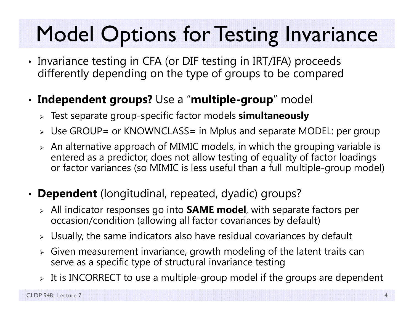## Model Options for Testing Invariance

• Invariance testing in CFA (or DIF testing in IRT/IFA) proceeds differently depending on the type of groups to be compared

### • **Independent groups?** Use a "**multiple-group**" model

- Test separate group-specific factor models **simultaneously**
- Use GROUP= or KNOWNCLASS= in Mplus and separate MODEL: per group
- $\triangleright$  An alternative approach of MIMIC models, in which the grouping variable is entered as a predictor, does not allow testing of equality of factor loadings or factor variances (so MIMIC is less useful than a full multiple-group model)
- **Dependent** (longitudinal, repeated, dyadic) groups?
	- All indicator responses go into **SAME model**, with separate factors per occasion/condition (allowing all factor covariances by default)
	- $\triangleright$  Usually, the same indicators also have residual covariances by default
	- $\triangleright$  Given measurement invariance, growth modeling of the latent traits can serve as a specific type of structural invariance testing
	- $\triangleright\;$  It is INCORRECT to use a multiple-group model if the groups are dependent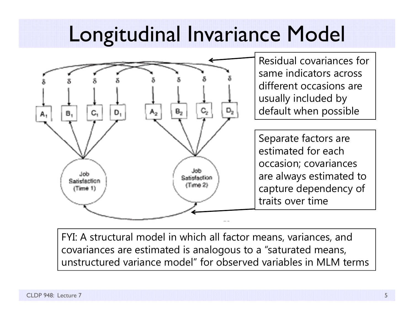## Longitudinal Invariance Model



FYI: A structural model in which all factor means, variances, and covariances are estimated is analogous to a "saturated means, unstructured variance model" for observed variables in MLM terms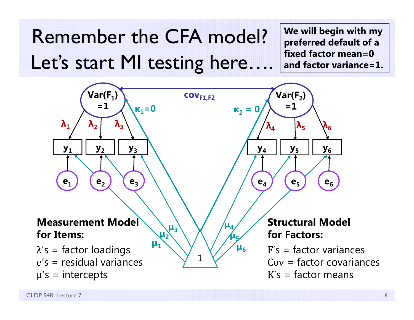Remember the CFA model?Let's start MI testing here....

**We will begin with my preferred default of a fixed factor mean=0 and factor variance=1.**

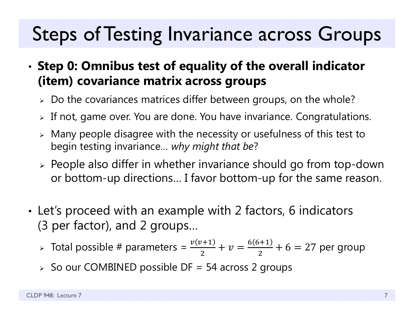### Steps of Testing Invariance across Groups

#### • **Step 0: Omnibus test of equality of the overall indicator (item) covariance matrix across groups**

- $\triangleright\;$  Do the covariances matrices differ between groups, on the whole?
- $\triangleright$  If not, game over. You are done. You have invariance. Congratulations.
- $\triangleright$  Many people disagree with the necessity or usefulness of this test to begin testing invariance… *why might that be* ?
- $\triangleright$  People also differ in whether invariance should go from top-down or bottom-up directions… I favor bottom-up for the same reason.
- • Let's proceed with an example with 2 factors, 6 indicators (3 per factor), and 2 groups…
	- > Total possible # parameters =  $\frac{v(v+1)}{2}$ 2  $+ v =$  $6(6+1)$  $\frac{(n+1)}{2}$  + 6 = 27 per group
	- $\triangleright$  So our COMBINED possible DF = 54 across 2 groups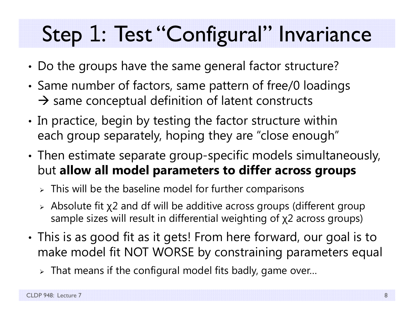# Step 1: Test "Configural" Invariance

- •Do the groups have the same general factor structure?
- • Same number of factors, same pattern of free/0 loadings  $\rightarrow$  same conceptual definition of latent constructs
- •• In practice, begin by testing the factor structure within each group separately, hoping they are "close enough"
- • Then estimate separate group-specific models simultaneously, but **allow all model parameters to differ across groups** 
	- $\triangleright$  This will be the baseline model for further comparisons
	- $\triangleright$  Absolute fit  $\chi2$  and df will be additive across groups (different group sample sizes will result in differential weighting of χ2 across groups)
- • This is as good fit as it gets! From here forward, our goal is to make model fit NOT WORSE by constraining parameters equal
	- $\triangleright$  That means if the configural model fits badly, game over…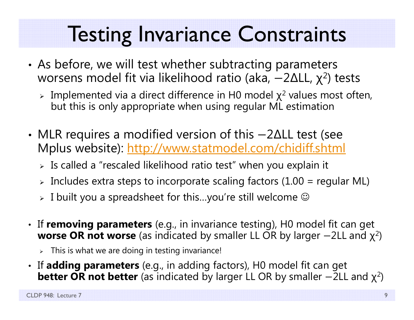## Testing Invariance Constraints

- • As before, we will test whether subtracting parameters worsens model fit via likelihood ratio (aka,  $-2\Delta$ LL,  $\chi^2$ ) tests
	- $\triangleright$  Implemented via a direct difference in H0 model  $\chi^2$  values most often, but this is only appropriate when using regular ML estimation
- • MLR requires a modified version of this —2∆LL test (see Mplus website): http://www.statmodel.com/chidiff.shtml
	- $\triangleright$  Is called a "rescaled likelihood ratio test" when you explain it
	- $\triangleright$  Includes extra steps to incorporate scaling factors (1.00 = regular ML)
	- $\triangleright$  I built you a spreadsheet for this…you're still welcome  $\odot$
- If **removing parameters** (e.g., in invariance testing), H0 model fit can get **worse OR not worse** (as indicated by smaller LL OR by larger  $-2$ LL and  $\chi^2$ )
	- $\triangleright$  This is what we are doing in testing invariance!
- If **adding parameters** (e.g., in adding factors), H0 model fit can get  $\bm{\mathsf{better}}$   $\bm{\mathsf{OR}}$   $\bm{\mathsf{not}}$   $\bm{\mathsf{better}}$  (as indicated by larger LL OR by smaller  $-2$ LL and  $\chi^2$ )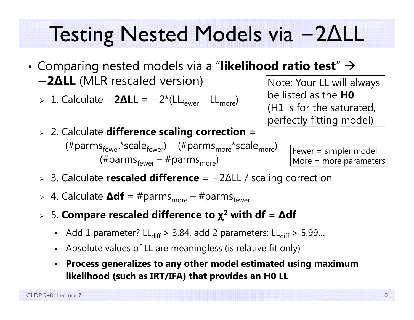#### Testing Nested Models via  $-2\Delta$ LL

- • $\bullet$  Comparing nested models via a "**likelihood ratio test**"  $\rightarrow$ െ **2 ∆LL** (MLR rescaled version)
	- **⊳** 1. Calculate −2ΔLL = −2\*(LL<sub>fewer</sub> LL<sub>more</sub>)
- Note: Your LL will always be listed as the **H0** (H1 is for the saturated, perfectly fitting model)
- 2. Calculate **difference scaling correction** =  $(\text{\#params}_{\text{fewer}}^*$ scale $_{\text{fewer}}^*$ ) – ( $\text{\#params}_{\text{more}}^*$ scale $_{\text{more}}^*$ ) (#parms<sub>fewer</sub> – #parms<sub>more</sub>)

Fewer = simpler model More = more parameters

- 3. Calculate **rescaled difference** <sup>=</sup> − 2 ∆LL / scaling correction
- > 4. Calculate **∆df** = #parms<sub>more</sub> #parms<sub>fewer</sub>
- 5. **Compare rescaled difference to χ 2 with df <sup>=</sup> ∆df**
	- Add 1 parameter? LL $_{\rm diff}$  > 3.84, add 2 parameters: LL $_{\rm diff}$  > 5.99...
	- Absolute values of LL are meaningless (is relative fit only)
	- **Process generalizes to any other model estimated using maximum likelihood (such as IRT/IFA) that provides an H0 LL**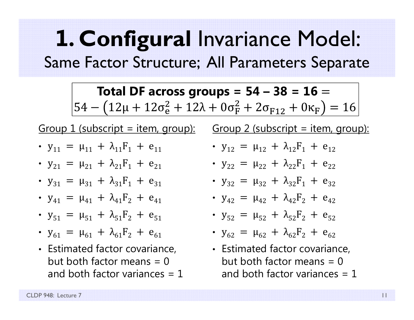### **1. Configural** Invariance Model: Same Factor Structure; All Parameters Separate

**Total DF across groups = 54 – 38 = 16 =**  $\sqrt{54 - (12\mu + 12\sigma_{e}^2 + 12\lambda + 0\sigma_{F}^2 + 2\sigma_{F12} + 0\kappa_{F})} = 16$ 

#### Group 1 (subscript = item, group): Group 2 (subscript = item, group):

- $y_{11} = \mu_{11} + \lambda_{11}F_1 + e_{11}$
- $y_{21} = \mu_{21} + \lambda_{21}F_1 + e_{21}$
- $y_{31} = \mu_{31} + \lambda_{31}F_1 + e_{31}$
- $y_{41} = \mu_{41} + \lambda_{41}F_2 + e_{41}$
- $y_{51} = \mu_{51} + \lambda_{51}F_2 + e_{51}$
- $y_{61} = \mu_{61} + \lambda_{61}F_2 + e_{61}$
- Estimated factor covariance, but both factor means  $= 0$ and both factor variances  $= 1$

• 
$$
y_{12} = \mu_{12} + \lambda_{12}F_1 + e_{12}
$$

• 
$$
y_{22} = \mu_{22} + \lambda_{22}F_1 + e_{22}
$$

•  $y_{32} = \mu_{32} + \lambda_{32}F_1 + e_{32}$ 

• 
$$
y_{42} = \mu_{42} + \lambda_{42}F_2 + e_{42}
$$

• 
$$
y_{52} = \mu_{52} + \lambda_{52}F_2 + e_{52}
$$

- $y_{62} = \mu_{62} + \lambda_{62}F_2 + e_{62}$
- Estimated factor covariance, but both factor means  $= 0$ and both factor variances  $= 1$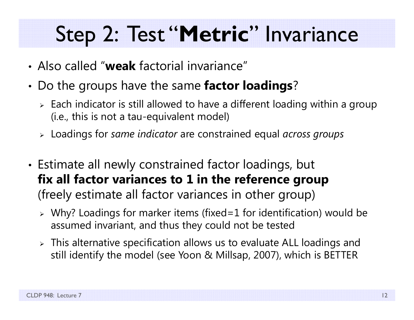## Step 2: Test "**Metric**" Invariance

- Also called "**weak** factorial invariance"
- • Do the groups have the same **factor loadings**?
	- $\triangleright$  Each indicator is still allowed to have a different loading within a group (i.e., this is not a tau-equivalent model)
	- Loadings for *same indicator* are constrained equal *across groups*
- • Estimate all newly constrained factor loadings, but **fix all factor variances to 1 in the reference group**  (freely estimate all factor variances in other group)
	- Why? Loadings for marker items (fixed=1 for identification) would be assumed invariant, and thus they could not be tested
	- $\triangleright$  This alternative specification allows us to evaluate ALL loadings and still identify the model (see Yoon & Millsap, 2007), which is BETTER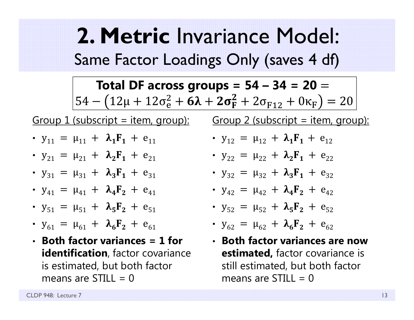**2. Metric** Invariance Model: Same Factor Loadings Only (saves 4 df)

**Total DF across groups = 54 – 34 = 20 =**  $\left[ 54 - \left( 12 \mu + 12 \sigma_{\rm e}^2 + {\bf 6} \boldsymbol{\lambda} + {\bf 2} \sigma_{\rm F}^2 + 2 \sigma_{\rm F12} + 0 \kappa_{\rm F} \right) = 20$ 

Group  $1$  (subscript = item, group):

- $y_{11} = \mu_{11} + \lambda_1 F_1 + e_{11}$
- $y_{21} = \mu_{21} + \lambda_2 F_1 + e_{21}$
- $y_{31} = \mu_{31} + \lambda_3 F_1 + e_{31}$
- $y_{41} = \mu_{41} + \lambda_4 F_2 + e_{41}$
- $y_{51} = \mu_{51} + \lambda_5 F_2 + e_{51}$
- $y_{61} = \mu_{61} + \lambda_6 F_2 + e_{61}$
- **Both factor variances = 1 for identification**, factor covariance is estimated, but both factor means are STILL  $= 0$

Group  $2$  (subscript = item, group):

- $y_{12} = \mu_{12} + \lambda_1 F_1 + e_{12}$
- $y_{22} = \mu_{22} + \lambda_2 F_1 + e_{22}$
- $y_{32} = \mu_{32} + \lambda_3 F_1 + e_{32}$
- $y_{42} = \mu_{42} + \lambda_4 F_2 + e_{42}$
- $y_{52} = \mu_{52} + \lambda_5 F_2 + e_{52}$
- $y_{62} = \mu_{62} + \lambda_6 F_2 + e_{62}$
- **Both factor variances are now estimated,** factor covariance is still estimated, but both factor means are STILL  $= 0$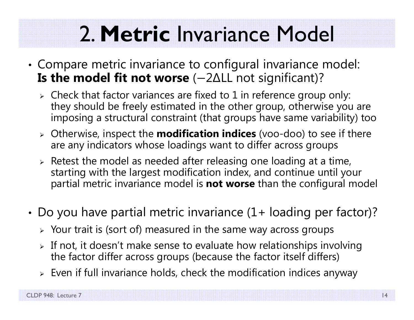# 2. **Metric** Invariance Model

- • Compare metric invariance to configural invariance model: **Is the model fit not worse** (-2∆LL not significant)?
	- $\triangleright$  Check that factor variances are fixed to 1 in reference group only: they should be freely estimated in the other group, otherwise you are imposing a structural constraint (that groups have same variability) too
	- Otherwise, inspect the **modification indices** (voo-doo) to see if there are any indicators whose loadings want to differ across groups
	- $\triangleright$  Retest the model as needed after releasing one loading at a time, starting with the largest modification index, and continue until your partial metric invariance model is **not worse** than the configural model
- • Do you have partial metric invariance (1+ loading per factor)?
	- $\triangleright$  Your trait is (sort of) measured in the same way across groups
	- $\triangleright$  If not, it doesn't make sense to evaluate how relationships involving the factor differ across groups (because the factor itself differs)
	- $\triangleright\;$  Even if full invariance holds, check the modification indices anyway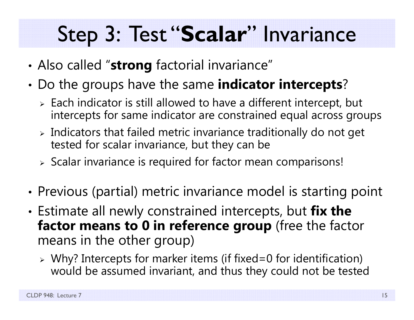## Step 3: Test "**Scalar**" Invariance

- •Also called "**strong** factorial invariance"
- • Do the groups have the same **indicator intercepts**?
	- $\triangleright$  Each indicator is still allowed to have a different intercept, but intercepts for same indicator are constrained equal across groups
	- $\triangleright$  Indicators that failed metric invariance traditionally do not get tested for scalar invariance, but they can be
	- $\triangleright$  Scalar invariance is required for factor mean comparisons!
- •• Previous (partial) metric invariance model is starting point
- • Estimate all newly constrained intercepts, but **fix the factor means to 0 in reference group** (free the factor means in the other group)
	- Why? Intercepts for marker items (if fixed=0 for identification) would be assumed invariant, and thus they could not be tested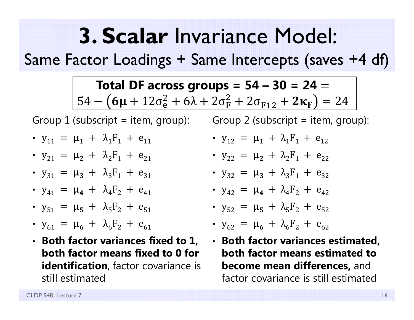## **3. Scalar** Invariance Model:

Same Factor Loadings + Same Intercepts (saves +4 df)

**Total DF across groups =**  $54 - 30 = 24 = 1$ 54 –  $(6\mu + 12\sigma_e^2 + 6\lambda + 2\sigma_F^2 + 2\sigma_{F12} + 2\kappa_F) = 24$ 

Group  $1$  (subscript = item, group):

- $y_{11} = \mu_1 + \lambda_1 F_1 + e_{11}$
- $y_{21} = \mu_2 + \lambda_2F_1 + e_{21}$
- $y_{31} = \mu_3 + \lambda_3F_1 + e_{31}$
- $y_{41} = \mu_4 + \lambda_4 F_2 + e_{41}$
- $y_{51} = \mu_5 + \lambda_5 F_2 + e_{51}$
- $y_{61} = \mu_6 + \lambda_6 F_2 + e_{61}$
- **Both factor variances fixed to 1, both factor means fixed to 0 for identification**, factor covariance is still estimated

Group  $2$  (subscript = item, group):

- $y_{12} = \mu_1 + \lambda_1 F_1 + e_{12}$
- $y_{22} = \mu_2 + \lambda_2F_1 + e_{22}$
- $y_{32} = \mu_3 + \lambda_3F_1 + e_{32}$
- $y_{42} = \mu_4 + \lambda_4 F_2 + e_{42}$
- $y_{52} = \mu_5 + \lambda_5 F_2 + e_{52}$
- $y_{62} = \mu_6 + \lambda_6 F_2 + e_{62}$
- **Both factor variances estimated, both factor means estimated to become mean differences,** and factor covariance is still estimated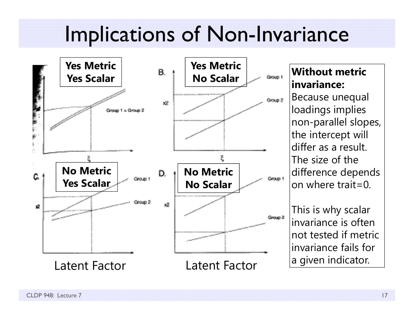## Implications of Non-Invariance



#### **Without metric invariance:**

Because unequal loadings implies non-parallel slopes, the intercept will differ as a result. The size of the difference depends on where trait=0.

This is why scalar invariance is often not tested if metric invariance fails for a given indicator.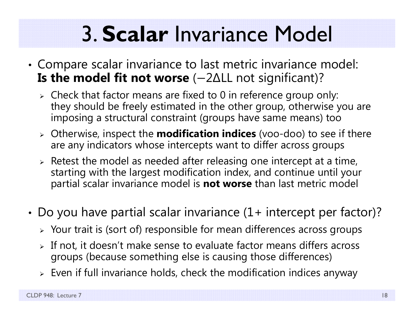# 3. **Scalar** Invariance Model

- • Compare scalar invariance to last metric invariance model: **Is the model fit not worse** (-2∆LL not significant)?
	- $\triangleright$  Check that factor means are fixed to 0 in reference group only: they should be freely estimated in the other group, otherwise you are imposing a structural constraint (groups have same means) too
	- Otherwise, inspect the **modification indices** (voo-doo) to see if there are any indicators whose intercepts want to differ across groups
	- $\triangleright$  Retest the model as needed after releasing one intercept at a time, starting with the largest modification index, and continue until your partial scalar invariance model is **not worse** than last metric model
- • Do you have partial scalar invariance (1+ intercept per factor)?
	- $\triangleright$  Your trait is (sort of) responsible for mean differences across groups
	- $\triangleright$  If not, it doesn't make sense to evaluate factor means differs across groups (because something else is causing those differences)
	- $\triangleright\;$  Even if full invariance holds, check the modification indices anyway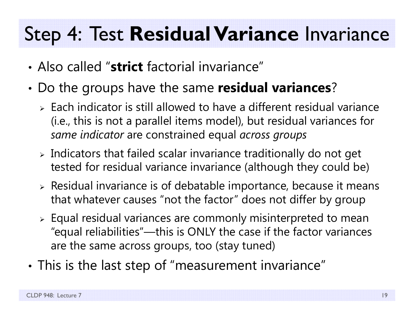### Step 4: Test **Residual Variance** Invariance

- Also called "**strict** factorial invariance"
- • Do the groups have the same **residual variances**?
	- $\triangleright$  Each indicator is still allowed to have a different residual variance (i.e., this is not a parallel items model), but residual variances for *same indicator* are constrained equal *across groups*
	- $\triangleright$  Indicators that failed scalar invariance traditionally do not get tested for residual variance invariance (although they could be)
	- $\triangleright$  Residual invariance is of debatable importance, because it means that whatever causes "not the factor" does not differ by group
	- $\triangleright$  Equal residual variances are commonly misinterpreted to mean "equal reliabilities"—this is ONLY the case if the factor variances are the same across groups, too (stay tuned)
- • $\bm{\cdot}$  This is the last step of "measurement invariance"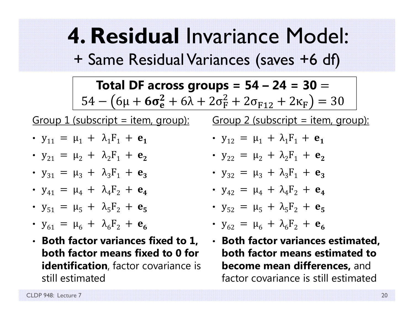**4. Residual** Invariance Model: + Same Residual Variances (saves +6 df)

**Total DF across groups =**  $54 - 24 = 30 = 1$ 54 —  $(6\mu + 6\sigma_{\rm e}^2 + 6\lambda + 2\sigma_{\rm F}^2 + 2\sigma_{\rm F12} + 2\kappa_{\rm F}) = 30$ 

Group  $1$  (subscript = item, group):

- $y_{11} = \mu_1 + \lambda_1 F_1 + e_1$
- $y_{21} = \mu_2 + \lambda_2F_1 + e_2$
- $y_{31} = \mu_3 + \lambda_3 F_1 + e_3$
- $y_{41} = \mu_4 + \lambda_4 F_2 + e_4$
- $y_{51} = \mu_5 + \lambda_5 F_2 + e_5$
- $y_{61} = \mu_6 + \lambda_6 F_2 + e_6$
- **Both factor variances fixed to 1, both factor means fixed to 0 for identification**, factor covariance is still estimated

Group  $2$  (subscript = item, group):

• 
$$
y_{12} = \mu_1 + \lambda_1 F_1 + e_1
$$

• 
$$
y_{22} = \mu_2 + \lambda_2 F_1 + e_2
$$

- $y_{32} = \mu_3 + \lambda_3 F_1 + e_3$
- $y_{42} = \mu_4 + \lambda_4 F_2 + e_4$

• 
$$
y_{52} = \mu_5 + \lambda_5 F_2 + e_5
$$

• 
$$
y_{62} = \mu_6 + \lambda_6 F_2 + e_6
$$

• **Both factor variances estimated, both factor means estimated to become mean differences,** and factor covariance is still estimated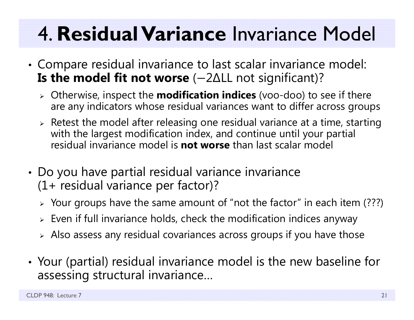## 4. **Residual Variance** Invariance Model

- • Compare residual invariance to last scalar invariance model: **Is the model fit not worse** (-2∆LL not significant)?
	- Otherwise, inspect the **modification indices** (voo-doo) to see if there are any indicators whose residual variances want to differ across groups
	- $\triangleright$  Retest the model after releasing one residual variance at a time, starting with the largest modification index, and continue until your partial residual invariance model is **not worse** than last scalar model
- • Do you have partial residual variance invariance (1+ residual variance per factor)?
	- $\triangleright$  Your groups have the same amount of "not the factor" in each item (???)
	- $\triangleright\;$  Even if full invariance holds, check the modification indices anyway
	- $\triangleright$  Also assess any residual covariances across groups if you have those
- • Your (partial) residual invariance model is the new baseline for assessing structural invariance…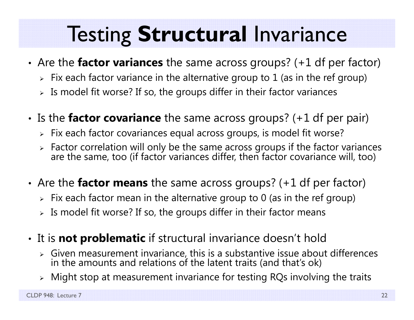## Testing **Structural** Invariance

- • Are the **factor variances** the same across groups? (+1 df per factor)
	- $\triangleright\;$  Fix each factor variance in the alternative group to  $1$  (as in the ref group)
	- $\triangleright$  Is model fit worse? If so, the groups differ in their factor variances
- •• Is the **factor covariance** the same across groups? (+1 df per pair)
	- $\triangleright\;$  Fix each factor covariances equal across groups, is model fit worse?
	- > Factor correlation will only be the same across groups if the factor variances are the same, too (if factor variances differ, then factor covariance will, too)
- • Are the **factor means** the same across groups? (+1 df per factor)
	- $\triangleright\;$  Fix each factor mean in the alternative group to 0 (as in the ref group)
	- $\triangleright$  Is model fit worse? If so, the groups differ in their factor means
- • It is **not problematic** if structural invariance doesn't hold
	- $\triangleright$  Given measurement invariance, this is a substantive issue about differences in the amounts and relations of the latent traits (and that's ok)
	- $\triangleright$  Might stop at measurement invariance for testing RQs involving the traits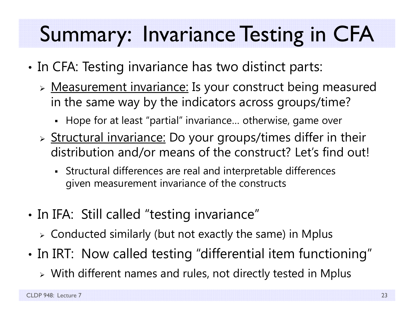# Summary: Invariance Testing in CFA

- •• In CFA: Testing invariance has two distinct parts:
	- > Measurement invariance: Is your construct being measured in the same way by the indicators across groups/time?
		- Hope for at least "partial" invariance… otherwise, game over
	- > Structural invariance: Do your groups/times differ in their distribution and/or means of the construct? Let's find out!
		- Structural differences are real and interpretable differences given measurement invariance of the constructs
- •• In IFA: Still called "testing invariance"
	- $\triangleright$  Conducted similarly (but not exactly the same) in Mplus
- •• In IRT: Now called testing "differential item functioning"
	- $\triangleright$  With different names and rules, not directly tested in Mplus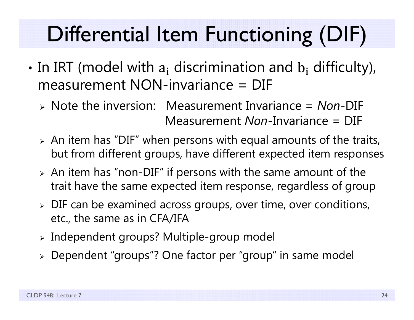# Differential Item Functioning (DIF)

- •• In IRT (model with  $a_i$  discrimination and  $b_i$  difficulty), measurement NON-invariance = DIF
	- Note the inversion: Measurement Invariance = *Non*-DIF Measurement *Non*-Invariance = DIF
	- $\triangleright$  An item has "DIF" when persons with equal amounts of the traits, but from different groups, have different expected item responses
	- $\triangleright$  An item has "non-DIF" if persons with the same amount of the trait have the same expected item response, regardless of group
	- $\triangleright$  DIF can be examined across groups, over time, over conditions, etc., the same as in CFA/IFA
	- $\triangleright$  Independent groups? Multiple-group model
	- Dependent "groups"? One factor per "group" in same model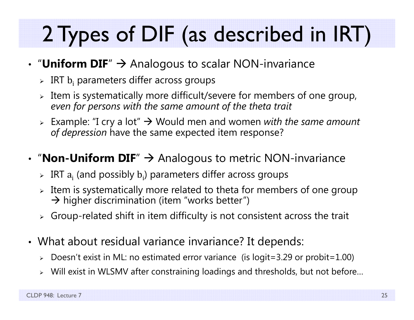# 2 Types of DIF (as described in IRT)

### • "Uniform DIF"  $\rightarrow$  Analogous to scalar NON-invariance

- $\triangleright$  IRT  $\mathrm{b_{i}}$  parameters differ across groups
- $\triangleright$  Item is systematically more difficult/severe for members of one group, *even for persons with the same amount of the theta trait*
- Example: "I cry a lot" Would men and women *with the same amount of depression* have the same expected item response?

### • "**Non-Uniform DIF**"  $\rightarrow$  Analogous to metric NON-invariance

- $\triangleright$  IRT  $\rm a_i$  (and possibly  $\rm b_i$ ) parameters differ across groups
- $\triangleright$  Item is systematically more related to theta for members of one group  $\rightarrow$  higher discrimination (item "works better")
- $\triangleright$  Group-related shift in item difficulty is not consistent across the trait
- What about residual variance invariance? It depends:
	- $\triangleright$  Doesn't exist in ML: no estimated error variance (is logit=3.29 or probit=1.00)
	- $\triangleright$  Will exist in WLSMV after constraining loadings and thresholds, but not before…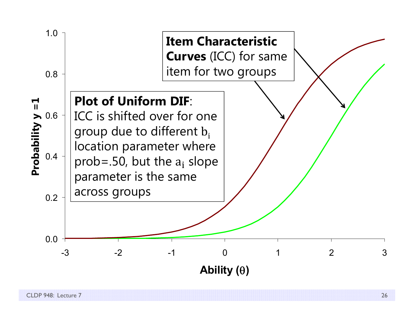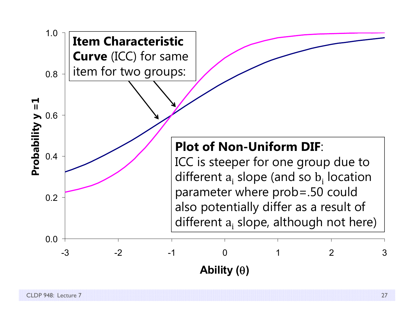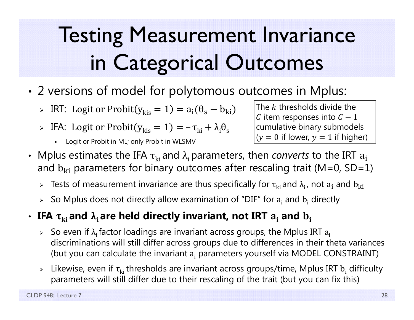# Testing Measurement Invariance in Categorical Outcomes

- • 2 versions of model for polytomous outcomes in Mplus:
	- $\triangleright$  IRT: Logit or Probit( $y_{\rm kis} = 1$ ) =  $a_{\rm i}(\theta_{\rm s} b_{\rm ki})$
	- $\triangleright$  IFA: Logit or Probit $(y_{\rm kis} = 1) = -\tau_{\rm ki} + \lambda_{\rm i} \theta_{\rm sk}$ 
		- П Logit or Probit in ML; only Probit in WLSMV

The  $k$  thresholds divide the  ${\cal C}$  item responses into  ${\cal C}-1$ cumulative binary submodels  $(y = 0$  if lower,  $y = 1$  if higher)

- Mplus estimates the IFA  $\tau_{\rm ki}$  and  $\lambda_{\rm i}$  parameters, then *converts* to the IRT  $\rm a_{i}$ and  $\rm{b_{ki}}$  parameters for binary outcomes after rescaling trait (M=0, SD=1)
	- $\triangleright$  Tests of measurement invariance are thus specifically for  $\tau_{\rm ki}$  and  $\lambda_{\rm i}$ , not  ${\rm a}_{\rm i}$  and  ${\rm b}_{\rm ki}$
	- $\triangleright$  So Mplus does not directly allow examination of "DIF" for  $\rm a_i$  and  $\rm b_i$  directly

#### $\cdot$  IFA  $\boldsymbol{\tau}_{\mathbf{k i}}$  and  $\boldsymbol{\lambda}_{\mathbf{i}}$  are held directly invariant, not IRT  $\mathbf{a}_{\mathbf{i}}$  and  $\mathbf{b}_{\mathbf{i}}$

- $\triangleright$  So even if  $\lambda_i$  factor loadings are invariant across groups, the Mplus IRT  $a_i$ discriminations will still differ across groups due to differences in their theta variances (but you can calculate the invariant a<sub>i</sub> parameters yourself via MODEL CONSTRAINT)
- $\triangleright$  Likewise, even if  $\tau_{ki}$ thresholds are invariant across groups/time, Mplus IRT  $b_i$  difficulty parameters will still differ due to their rescaling of the trait (but you can fix this)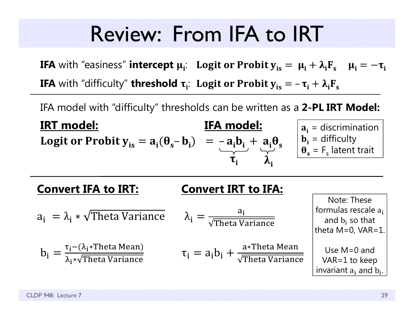### Review: From IFA to IRT

**IFA** with "easiness" **intercept**  $\mu_i$ **:** Logit or Probit  $\mathbf{y}_{is} = \ \mu_i + \lambda_i \mathbf{F}_s \quad \mu_i = -\boldsymbol{\tau}_i$ **IFA** with "difficulty" **threshold**  $\boldsymbol{\tau}_i$ **: Logit or Probit**  $\boldsymbol{y}_{is} = -\boldsymbol{\tau}_i + \boldsymbol{\lambda}_i \boldsymbol{F}_s$ 

IFA model with "difficulty" thresholds can be written as a **2-PL IRT Model:**

**IRT model: IFA model:**IFA model: **Logit or Probit**  $y_{is} = a_i(\theta_s - b_i) = -a_i b_i + a_i \theta_s$  $\tau_i$   $\lambda_i$  $\mathbf{a_i}$  = discrimination  $\mathbf{b}_i$  = difficulty  $\theta_{s}$  = F<sub>s</sub> latent trait

**Convert IFA to IRT: Convert IRT to IFA:**  ${\sf a_i}\; = \lambda_{\sf i} * \sqrt{\rm Theta\;Variance} \qquad \lambda_{\sf i} = 0$  ${\sf a_i}$ Theta Variance  $b_i =$ τ<sub>i</sub>–(λ<sub>i</sub>∗Theta Mean) λ<sub>i</sub>∗√Theta Variance  $\tau_{\rm i} = {\rm a}_{\rm i} {\rm b}_{\rm i} + \frac{{\rm a} * {\rm Theta~Mean}}{\sqrt{{\rm Theta~Variance}}}$ Note: These formulas rescale a<sub>i</sub> and b<sub>i</sub> so that theta  $M=0$ ,  $VAR=1$ . Use M=0 and VAR=1 to keep invariant  $\rm a_i$  and  $\rm b_i.$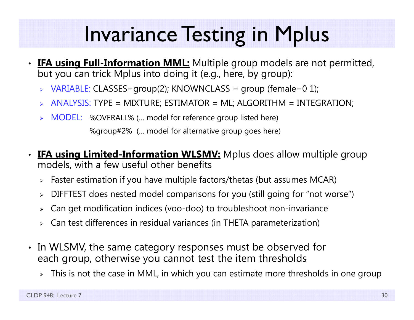## Invariance Testing in Mplus

- •**IFA using Full-Information MML:** Multiple group models are not permitted, but you can trick Mplus into doing it (e.g., here, by group):
	- > VARIABLE: CLASSES=group(2); KNOWNCLASS = group (female=0 1);
	- ANALYSIS: TYPE = MIXTURE; ESTIMATOR = ML; ALGORITHM = INTEGRATION;
	- > MODEL: %OVERALL% (... model for reference group listed here)

%group#2% (… model for alternative group goes here)

- **IFA using Limited-Information WLSMV:** Mplus does allow multiple group models, with a few useful other benefits
	- Faster estimation if you have multiple factors/thetas (but assumes MCAR)
	- DIFFTEST does nested model comparisons for you (still going for "not worse")
	- Can get modification indices (voo-doo) to troubleshoot non-invariance
	- $\triangleright$  Can test differences in residual variances (in THETA parameterization)
- In WLSMV, the same category responses must be observed for each group, otherwise you cannot test the item thresholds
	- $\triangleright$   $\;$  This is not the case in MML, in which you can estimate more thresholds in one group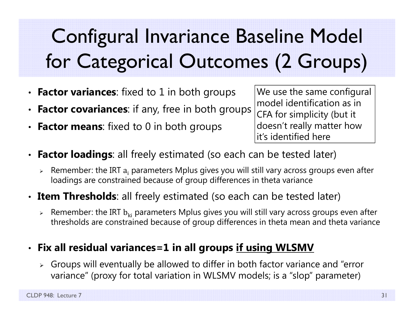## Configural Invariance Baseline Model for Categorical Outcomes (2 Groups)

- **Factor variances**: fixed to 1 in both groups
- •**Factor covariances:** if any, free in both groups
- •**Factor means:** fixed to 0 in both groups

We use the same configural model identification as in CFA for simplicity (but it doesn't really matter how it's identified here

- • **Factor loadings**: all freely estimated (so each can be tested later)
	- $\triangleright$  Remember: the IRT  $\rm a_i$  parameters Mplus gives you will still vary across groups even after  $\rm$ loadings are constrained because of group differences in theta variance
- **Item Thresholds**: all freely estimated (so each can be tested later)
	- $\triangleright$  Remember: the IRT  $\rm b_{ki}$  parameters Mplus gives you will still vary across groups even after thresholds are constrained because of group differences in theta mean and theta variance

#### • **Fix all residual variances=1 in all groups if using WLSMV**

 $\triangleright$  Groups will eventually be allowed to differ in both factor variance and "error variance" (proxy for total variation in WLSMV models; is a "slop" parameter)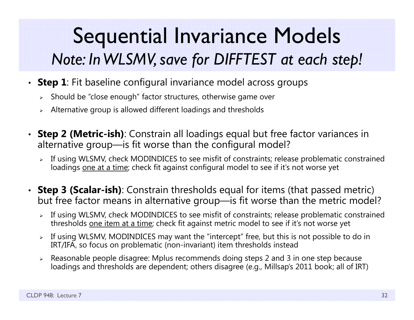### Sequential Invariance Models *Note: In WLSMV, save for DIFFTEST at each step!*

- **Step 1**: Fit baseline configural invariance model across groups
	- $\triangleright$   $\,$  Should be "close enough" factor structures, otherwise game over
	- $\triangleright$   $\,$  Alternative group is allowed different loadings and thresholds
- **Step 2 (Metric-ish)**: Constrain all loadings equal but free factor variances in alternative group—is fit worse than the configural model?
	- If using WLSMV, check MODINDICES to see misfit of constraints; release problematic constrained loadings one at a time; check fit against configural model to see if it's not worse yet
- **Step 3 (Scalar-ish)**: Constrain thresholds equal for items (that passed metric) but free factor means in alternative group—is fit worse than the metric model?
	- If using WLSMV, check MODINDICES to see misfit of constraints; release problematic constrained thresholds one item at a time; check fit against metric model to see if it's not worse yet
	- $\triangleright$  If using WLSMV, MODINDICES may want the "intercept" free, but this is not possible to do in IRT/IFA, so focus on problematic (non-invariant) item thresholds instead
	- Reasonable people disagree: Mplus recommends doing steps 2 and 3 in one step because loadings and thresholds are dependent; others disagree (e.g., Millsap's 2011 book; all of IRT)